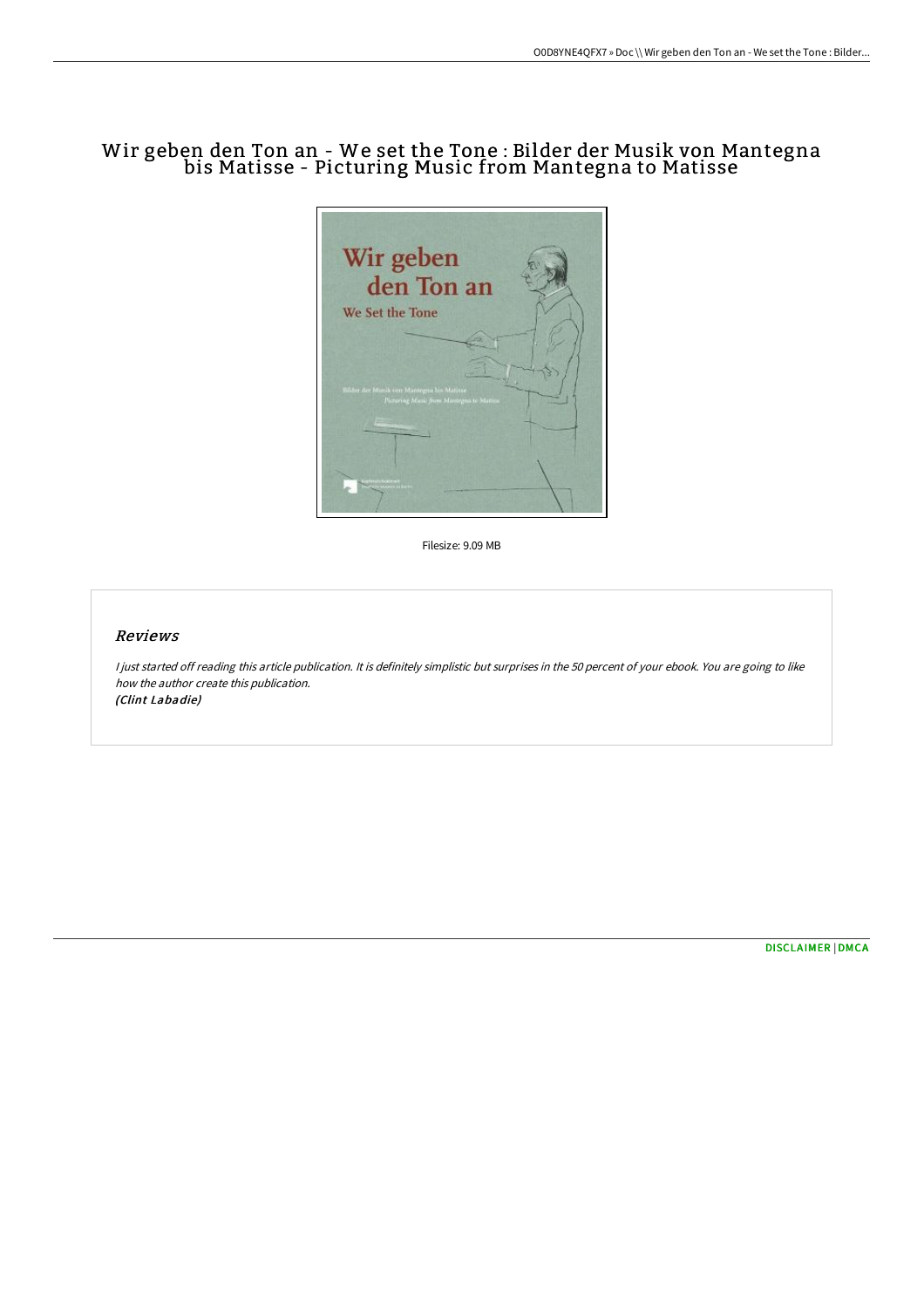## Wir geben den Ton an - We set the Tone : Bilder der Musik von Mantegna bis Matisse - Picturing Music from Mantegna to Matisse



Filesize: 9.09 MB

## Reviews

I just started off reading this article publication. It is definitely simplistic but surprises in the 50 percent of your ebook. You are going to like how the author create this publication. (Clint Labadie)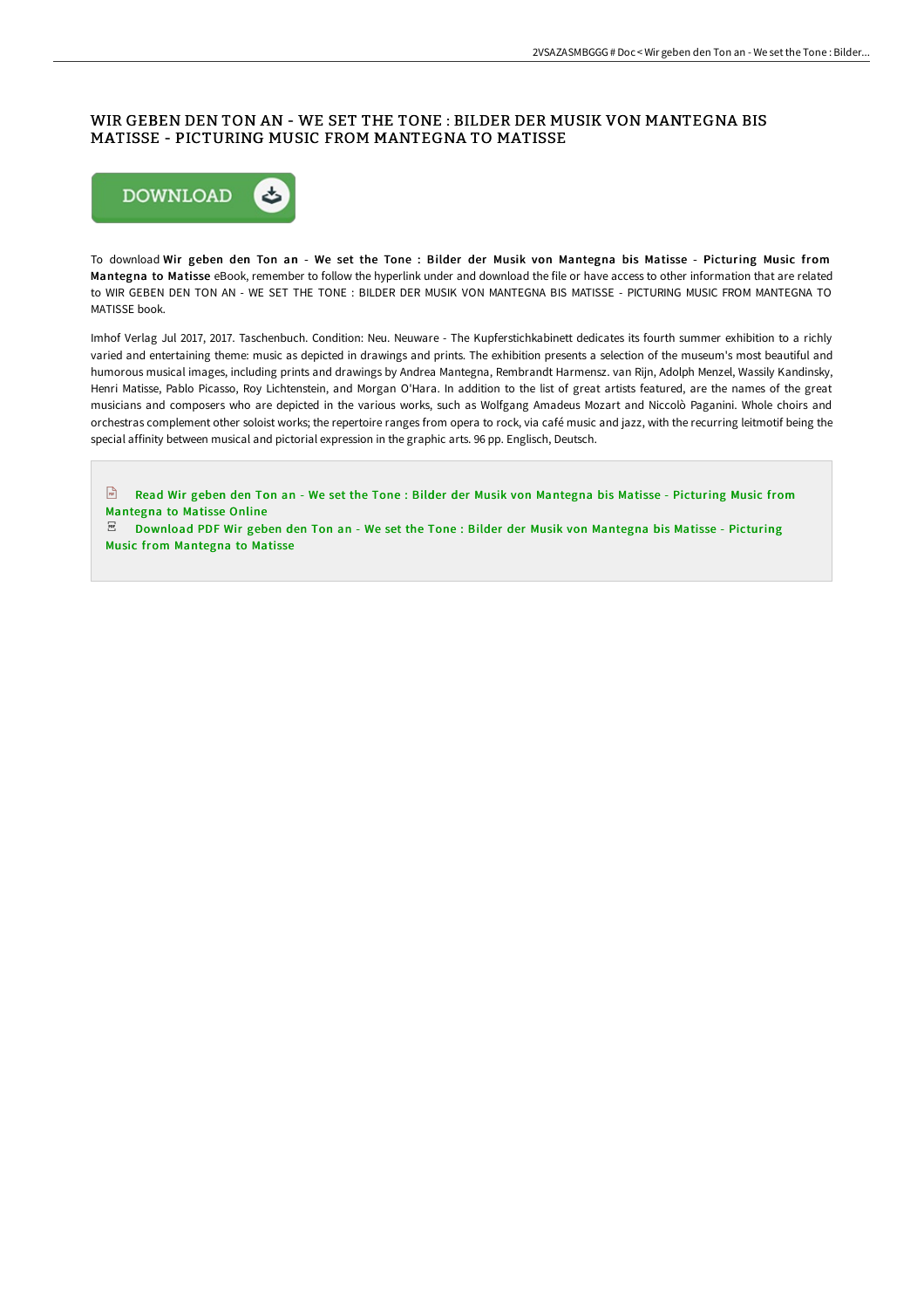## WIR GEBEN DEN TON AN - WE SET THE TONE : BILDER DER MUSIK VON MANTEGNA BIS MATISSE - PICTURING MUSIC FROM MANTEGNA TO MATISSE



To download Wir geben den Ton an - We set the Tone : Bilder der Musik von Mantegna bis Matisse - Picturing Music from Mantegna to Matisse eBook, remember to follow the hyperlink under and download the file or have access to other information that are related to WIR GEBEN DEN TON AN - WE SET THE TONE : BILDER DER MUSIK VON MANTEGNA BIS MATISSE - PICTURING MUSIC FROM MANTEGNA TO MATISSE book.

Imhof Verlag Jul 2017, 2017. Taschenbuch. Condition: Neu. Neuware - The Kupferstichkabinett dedicates its fourth summer exhibition to a richly varied and entertaining theme: music as depicted in drawings and prints. The exhibition presents a selection of the museum's most beautiful and humorous musical images, including prints and drawings by Andrea Mantegna, Rembrandt Harmensz. van Rijn, Adolph Menzel, Wassily Kandinsky, Henri Matisse, Pablo Picasso, Roy Lichtenstein, and Morgan O'Hara. In addition to the list of great artists featured, are the names of the great musicians and composers who are depicted in the various works, such as Wolfgang Amadeus Mozart and Niccolò Paganini. Whole choirs and orchestras complement other soloist works; the repertoire ranges from opera to rock, via café music and jazz, with the recurring leitmotif being the special affinity between musical and pictorial expression in the graphic arts. 96 pp. Englisch, Deutsch.

Read Wir geben den Ton an - We set the Tone : Bilder der Musik von [Mantegna](http://techno-pub.tech/wir-geben-den-ton-an-we-set-the-tone-bilder-der-.html) bis Matisse - Picturing Music from Mantegna to Matisse Online

 $\mathbb E$  [Download](http://techno-pub.tech/wir-geben-den-ton-an-we-set-the-tone-bilder-der-.html) PDF Wir geben den Ton an - We set the Tone : Bilder der Musik von Mantegna bis Matisse - Picturing Music from Mantegna to Matisse